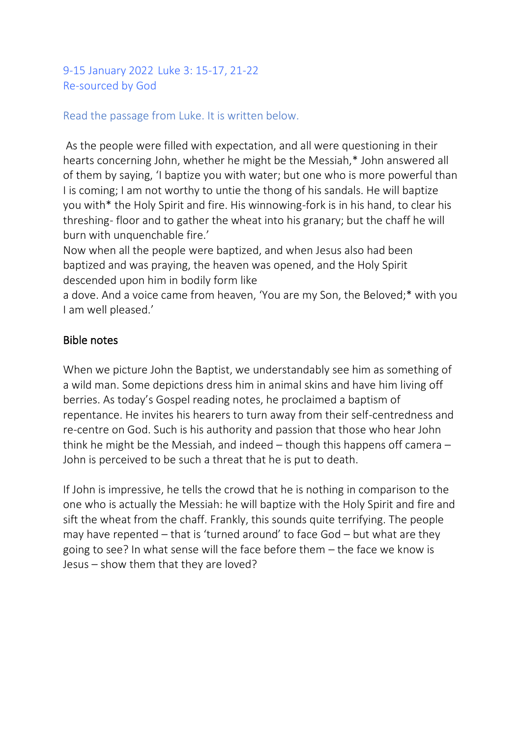9-15 January 2022 Luke 3: 15-17, 21-22 Re-sourced by God

### Read the passage from Luke. It is written below.

As the people were filled with expectation, and all were questioning in their hearts concerning John, whether he might be the Messiah,\* John answered all of them by saying, 'I baptize you with water; but one who is more powerful than I is coming; I am not worthy to untie the thong of his sandals. He will baptize you with\* the Holy Spirit and fire. His winnowing-fork is in his hand, to clear his threshing- floor and to gather the wheat into his granary; but the chaff he will burn with unquenchable fire.'

Now when all the people were baptized, and when Jesus also had been baptized and was praying, the heaven was opened, and the Holy Spirit descended upon him in bodily form like

a dove. And a voice came from heaven, 'You are my Son, the Beloved;\* with you I am well pleased.'

### Bible notes

When we picture John the Baptist, we understandably see him as something of a wild man. Some depictions dress him in animal skins and have him living off berries. As today's Gospel reading notes, he proclaimed a baptism of repentance. He invites his hearers to turn away from their self-centredness and re-centre on God. Such is his authority and passion that those who hear John think he might be the Messiah, and indeed – though this happens off camera – John is perceived to be such a threat that he is put to death.

If John is impressive, he tells the crowd that he is nothing in comparison to the one who is actually the Messiah: he will baptize with the Holy Spirit and fire and sift the wheat from the chaff. Frankly, this sounds quite terrifying. The people may have repented – that is 'turned around' to face God – but what are they going to see? In what sense will the face before them – the face we know is Jesus – show them that they are loved?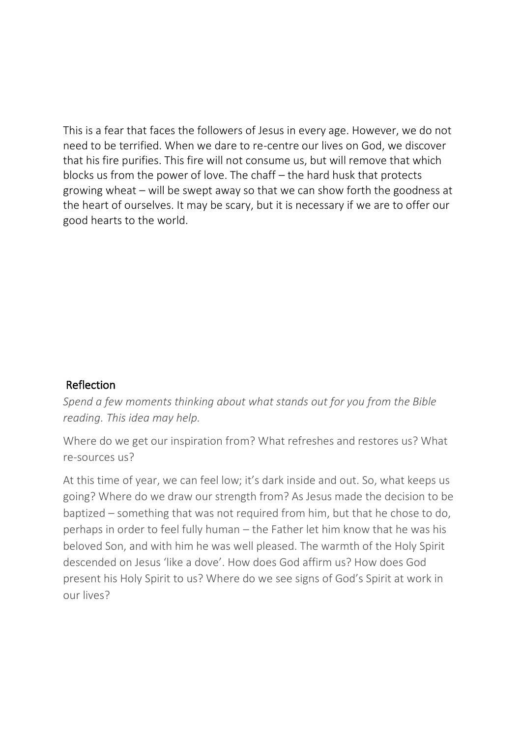This is a fear that faces the followers of Jesus in every age. However, we do not need to be terrified. When we dare to re-centre our lives on God, we discover that his fire purifies. This fire will not consume us, but will remove that which blocks us from the power of love. The chaff – the hard husk that protects growing wheat – will be swept away so that we can show forth the goodness at the heart of ourselves. It may be scary, but it is necessary if we are to offer our good hearts to the world.

### Reflection

*Spend a few moments thinking about what stands out for you from the Bible reading. This idea may help.*

Where do we get our inspiration from? What refreshes and restores us? What re-sources us?

At this time of year, we can feel low; it's dark inside and out. So, what keeps us going? Where do we draw our strength from? As Jesus made the decision to be baptized – something that was not required from him, but that he chose to do, perhaps in order to feel fully human – the Father let him know that he was his beloved Son, and with him he was well pleased. The warmth of the Holy Spirit descended on Jesus 'like a dove'. How does God affirm us? How does God present his Holy Spirit to us? Where do we see signs of God's Spirit at work in our lives?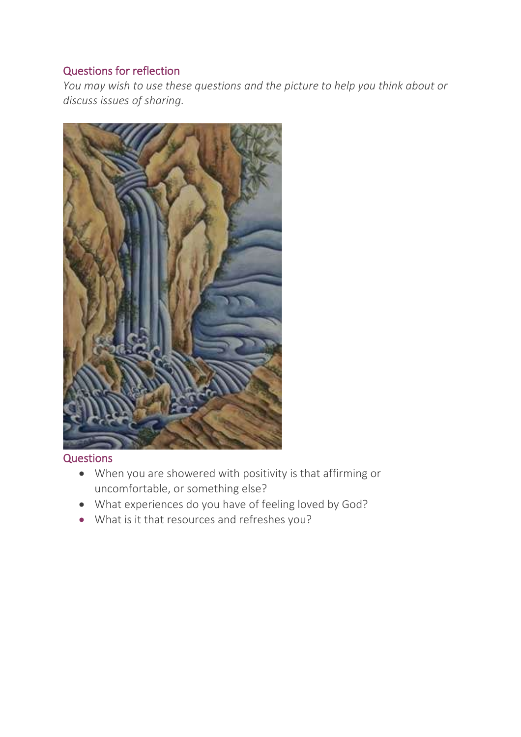# Questions for reflection

*You may wish to use these questions and the picture to help you think about or discuss issues of sharing.*



#### **Questions**

- When you are showered with positivity is that affirming or uncomfortable, or something else?
- What experiences do you have of feeling loved by God?
- What is it that resources and refreshes you?